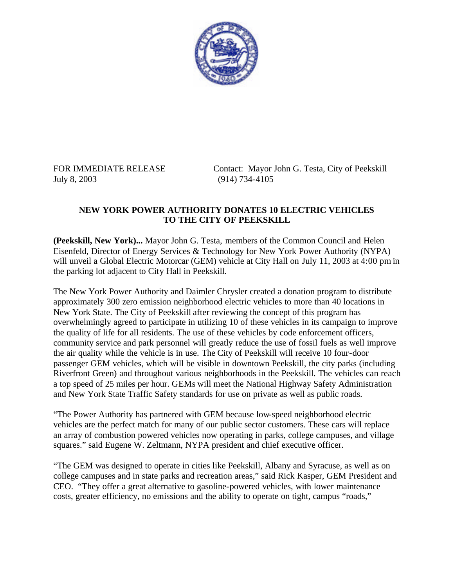

July 8, 2003 (914) 734-4105

FOR IMMEDIATE RELEASE Contact: Mayor John G. Testa, City of Peekskill

## **NEW YORK POWER AUTHORITY DONATES 10 ELECTRIC VEHICLES TO THE CITY OF PEEKSKILL**

**(Peekskill, New York)...** Mayor John G. Testa, members of the Common Council and Helen Eisenfeld, Director of Energy Services & Technology for New York Power Authority (NYPA) will unveil a Global Electric Motorcar (GEM) vehicle at City Hall on July 11, 2003 at 4:00 pm in the parking lot adjacent to City Hall in Peekskill.

The New York Power Authority and Daimler Chrysler created a donation program to distribute approximately 300 zero emission neighborhood electric vehicles to more than 40 locations in New York State. The City of Peekskill after reviewing the concept of this program has overwhelmingly agreed to participate in utilizing 10 of these vehicles in its campaign to improve the quality of life for all residents. The use of these vehicles by code enforcement officers, community service and park personnel will greatly reduce the use of fossil fuels as well improve the air quality while the vehicle is in use. The City of Peekskill will receive 10 four-door passenger GEM vehicles, which will be visible in downtown Peekskill, the city parks (including Riverfront Green) and throughout various neighborhoods in the Peekskill. The vehicles can reach a top speed of 25 miles per hour. GEMs will meet the National Highway Safety Administration and New York State Traffic Safety standards for use on private as well as public roads.

"The Power Authority has partnered with GEM because low-speed neighborhood electric vehicles are the perfect match for many of our public sector customers. These cars will replace an array of combustion powered vehicles now operating in parks, college campuses, and village squares." said Eugene W. Zeltmann, NYPA president and chief executive officer.

"The GEM was designed to operate in cities like Peekskill, Albany and Syracuse, as well as on college campuses and in state parks and recreation areas," said Rick Kasper, GEM President and CEO. "They offer a great alternative to gasoline-powered vehicles, with lower maintenance costs, greater efficiency, no emissions and the ability to operate on tight, campus "roads,"